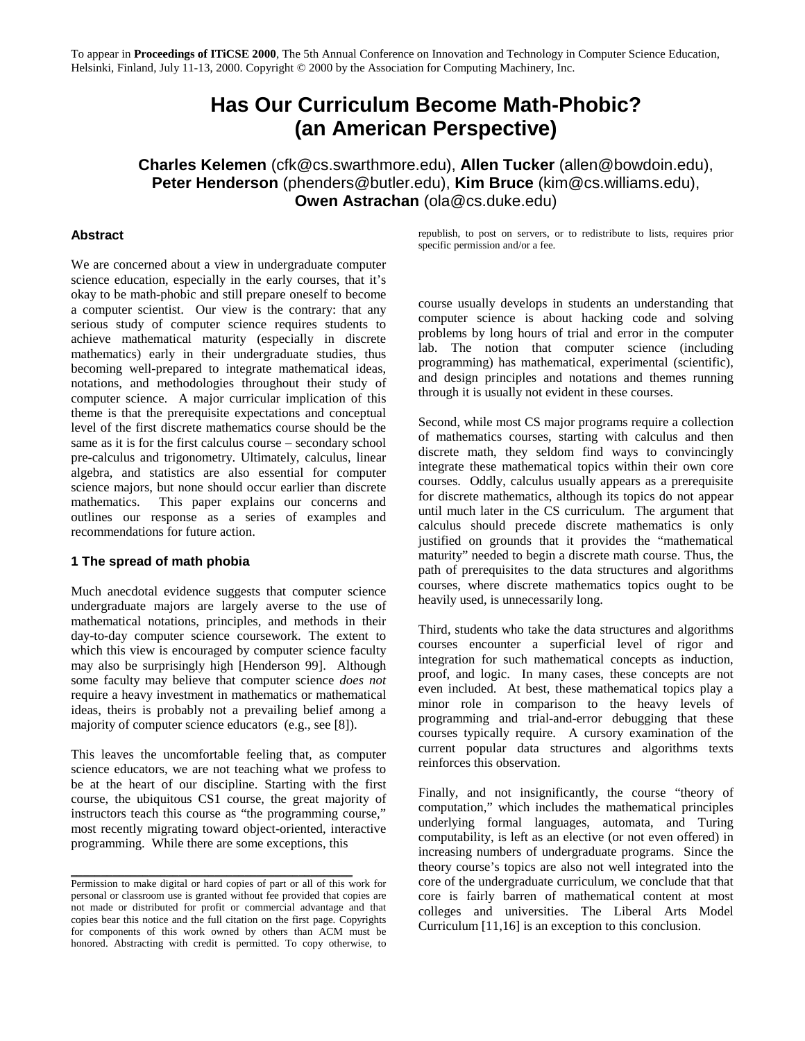To appear in **Proceedings of ITiCSE 2000**, The 5th Annual Conference on Innovation and Technology in Computer Science Education, Helsinki, Finland, July 11-13, 2000. Copyright © 2000 by the Association for Computing Machinery, Inc.

# **Has Our Curriculum Become Math-Phobic? (an American Perspective)**

**Charles Kelemen** (cfk@cs.swarthmore.edu), **Allen Tucker** (allen@bowdoin.edu), **Peter Henderson** (phenders@butler.edu), **Kim Bruce** (kim@cs.williams.edu), **Owen Astrachan** (ola@cs.duke.edu)

#### **Abstract**

We are concerned about a view in undergraduate computer science education, especially in the early courses, that it's okay to be math-phobic and still prepare oneself to become a computer scientist. Our view is the contrary: that any serious study of computer science requires students to achieve mathematical maturity (especially in discrete mathematics) early in their undergraduate studies, thus becoming well-prepared to integrate mathematical ideas, notations, and methodologies throughout their study of computer science. A major curricular implication of this theme is that the prerequisite expectations and conceptual level of the first discrete mathematics course should be the same as it is for the first calculus course – secondary school pre-calculus and trigonometry. Ultimately, calculus, linear algebra, and statistics are also essential for computer science majors, but none should occur earlier than discrete mathematics. This paper explains our concerns and outlines our response as a series of examples and recommendations for future action.

#### **1 The spread of math phobia**

Much anecdotal evidence suggests that computer science undergraduate majors are largely averse to the use of mathematical notations, principles, and methods in their day-to-day computer science coursework. The extent to which this view is encouraged by computer science faculty may also be surprisingly high [Henderson 99]. Although some faculty may believe that computer science *does not* require a heavy investment in mathematics or mathematical ideas, theirs is probably not a prevailing belief among a majority of computer science educators (e.g., see [8]).

This leaves the uncomfortable feeling that, as computer science educators, we are not teaching what we profess to be at the heart of our discipline. Starting with the first course, the ubiquitous CS1 course, the great majority of instructors teach this course as "the programming course," most recently migrating toward object-oriented, interactive programming. While there are some exceptions, this

 $\_$  , and the set of the set of the set of the set of the set of the set of the set of the set of the set of the set of the set of the set of the set of the set of the set of the set of the set of the set of the set of th

republish, to post on servers, or to redistribute to lists, requires prior specific permission and/or a fee.

course usually develops in students an understanding that computer science is about hacking code and solving problems by long hours of trial and error in the computer lab. The notion that computer science (including programming) has mathematical, experimental (scientific), and design principles and notations and themes running through it is usually not evident in these courses.

Second, while most CS major programs require a collection of mathematics courses, starting with calculus and then discrete math, they seldom find ways to convincingly integrate these mathematical topics within their own core courses. Oddly, calculus usually appears as a prerequisite for discrete mathematics, although its topics do not appear until much later in the CS curriculum. The argument that calculus should precede discrete mathematics is only justified on grounds that it provides the "mathematical maturity" needed to begin a discrete math course. Thus, the path of prerequisites to the data structures and algorithms courses, where discrete mathematics topics ought to be heavily used, is unnecessarily long.

Third, students who take the data structures and algorithms courses encounter a superficial level of rigor and integration for such mathematical concepts as induction, proof, and logic. In many cases, these concepts are not even included. At best, these mathematical topics play a minor role in comparison to the heavy levels of programming and trial-and-error debugging that these courses typically require. A cursory examination of the current popular data structures and algorithms texts reinforces this observation.

Finally, and not insignificantly, the course "theory of computation," which includes the mathematical principles underlying formal languages, automata, and Turing computability, is left as an elective (or not even offered) in increasing numbers of undergraduate programs. Since the theory course's topics are also not well integrated into the core of the undergraduate curriculum, we conclude that that core is fairly barren of mathematical content at most colleges and universities. The Liberal Arts Model Curriculum [11,16] is an exception to this conclusion.

Permission to make digital or hard copies of part or all of this work for personal or classroom use is granted without fee provided that copies are not made or distributed for profit or commercial advantage and that copies bear this notice and the full citation on the first page. Copyrights for components of this work owned by others than ACM must be honored. Abstracting with credit is permitted. To copy otherwise, to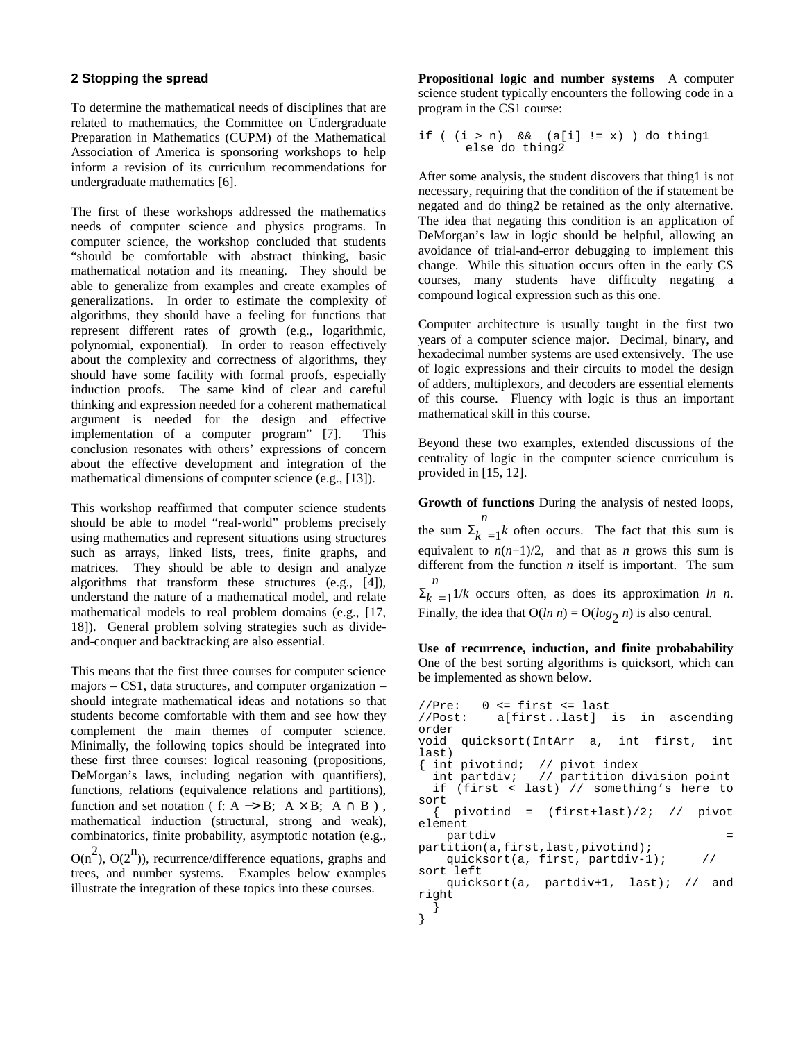#### **2 Stopping the spread**

To determine the mathematical needs of disciplines that are related to mathematics, the Committee on Undergraduate Preparation in Mathematics (CUPM) of the Mathematical Association of America is sponsoring workshops to help inform a revision of its curriculum recommendations for undergraduate mathematics [6].

The first of these workshops addressed the mathematics needs of computer science and physics programs. In computer science, the workshop concluded that students "should be comfortable with abstract thinking, basic mathematical notation and its meaning. They should be able to generalize from examples and create examples of generalizations. In order to estimate the complexity of algorithms, they should have a feeling for functions that represent different rates of growth (e.g., logarithmic, polynomial, exponential). In order to reason effectively about the complexity and correctness of algorithms, they should have some facility with formal proofs, especially induction proofs. The same kind of clear and careful thinking and expression needed for a coherent mathematical argument is needed for the design and effective implementation of a computer program" [7]. This conclusion resonates with others' expressions of concern about the effective development and integration of the mathematical dimensions of computer science (e.g., [13]).

This workshop reaffirmed that computer science students should be able to model "real-world" problems precisely using mathematics and represent situations using structures such as arrays, linked lists, trees, finite graphs, and matrices. They should be able to design and analyze algorithms that transform these structures (e.g., [4]), understand the nature of a mathematical model, and relate mathematical models to real problem domains (e.g., [17, 18]). General problem solving strategies such as divideand-conquer and backtracking are also essential.

This means that the first three courses for computer science majors – CS1, data structures, and computer organization – should integrate mathematical ideas and notations so that students become comfortable with them and see how they complement the main themes of computer science. Minimally, the following topics should be integrated into these first three courses: logical reasoning (propositions, DeMorgan's laws, including negation with quantifiers), functions, relations (equivalence relations and partitions), function and set notation ( f: A  $\rightarrow$  B; A  $\times$  B; A  $\cap$  B), mathematical induction (structural, strong and weak), combinatorics, finite probability, asymptotic notation (e.g.,  $O(n^2)$ ,  $O(2^n)$ ), recurrence/difference equations, graphs and trees, and number systems. Examples below examples illustrate the integration of these topics into these courses.

**Propositional logic and number systems** A computer science student typically encounters the following code in a program in the CS1 course:

```
if ((i > n) \& (ii <math>|i| \leq x)</math>) do thing1else do thing2
```
After some analysis, the student discovers that thing1 is not necessary, requiring that the condition of the if statement be negated and do thing2 be retained as the only alternative. The idea that negating this condition is an application of DeMorgan's law in logic should be helpful, allowing an avoidance of trial-and-error debugging to implement this change. While this situation occurs often in the early CS courses, many students have difficulty negating a compound logical expression such as this one.

Computer architecture is usually taught in the first two years of a computer science major. Decimal, binary, and hexadecimal number systems are used extensively. The use of logic expressions and their circuits to model the design of adders, multiplexors, and decoders are essential elements of this course. Fluency with logic is thus an important mathematical skill in this course.

Beyond these two examples, extended discussions of the centrality of logic in the computer science curriculum is provided in [15, 12].

**Growth of functions** During the analysis of nested loops,

the sum  $\Sigma_k$ *n*  $=1$ <sup>k</sup> often occurs. The fact that this sum is equivalent to  $n(n+1)/2$ , and that as *n* grows this sum is different from the function *n* itself is important. The sum  $\Sigma_k$ *n*  $=1^{1/k}$  occurs often, as does its approximation *ln n*.

Finally, the idea that  $O(ln n) = O(log_2 n)$  is also central.

**Use of recurrence, induction, and finite probabability** One of the best sorting algorithms is quicksort, which can be implemented as shown below.

```
//Pre: 0 <= first <= last
//Post: a[first..last] is in ascending
order
void quicksort(IntArr a, int first, int
last)
{ int pivotind; // pivot index
 int partdiv; // partition division point
 if (first < last) // something's here to
sort
 \{ pivotind = (first + last)/2; // pivot
element
   partdiv =
partition(a,first,last,pivotind);
   quicksort(a, first, partdiv-1); //
sort left
   quicksort(a, partdiv+1, last); // and
right
 }
}
```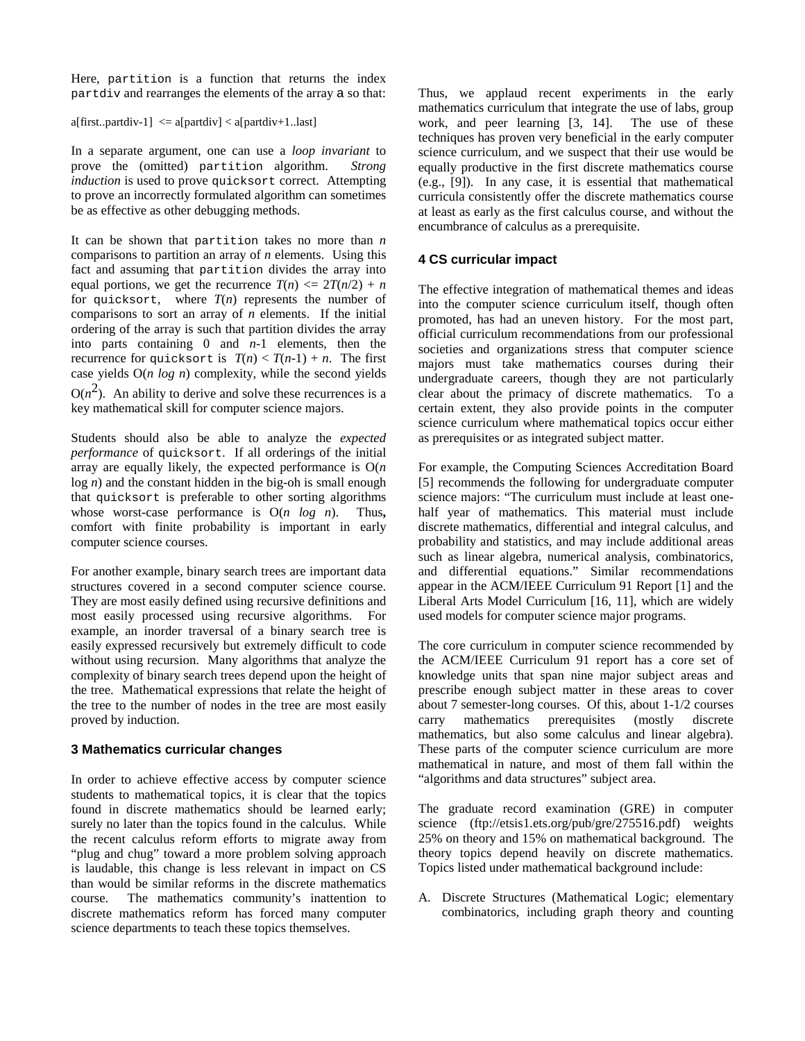Here, partition is a function that returns the index partdiv and rearranges the elements of the array a so that:

 $a[first..partdiv-1] \leq a[partdiv] \leq a[partdiv+1..last]$ 

In a separate argument, one can use a *loop invariant* to prove the (omitted) partition algorithm. *Strong induction* is used to prove quicksort correct. Attempting to prove an incorrectly formulated algorithm can sometimes be as effective as other debugging methods.

It can be shown that partition takes no more than *n* comparisons to partition an array of *n* elements. Using this fact and assuming that partition divides the array into equal portions, we get the recurrence  $T(n) \leq 2T(n/2) + n$ for quicksort, where  $T(n)$  represents the number of comparisons to sort an array of *n* elements. If the initial ordering of the array is such that partition divides the array into parts containing 0 and *n*-1 elements, then the recurrence for quicksort is  $T(n) < T(n-1) + n$ . The first case yields O(*n log n*) complexity, while the second yields  $O(n^2)$ . An ability to derive and solve these recurrences is a key mathematical skill for computer science majors.

Students should also be able to analyze the *expected performance* of quicksort. If all orderings of the initial array are equally likely, the expected performance is O(*n* log *n*) and the constant hidden in the big-oh is small enough that quicksort is preferable to other sorting algorithms whose worst-case performance is O(*n log n*). Thus**,** comfort with finite probability is important in early computer science courses.

For another example, binary search trees are important data structures covered in a second computer science course. They are most easily defined using recursive definitions and most easily processed using recursive algorithms. For example, an inorder traversal of a binary search tree is easily expressed recursively but extremely difficult to code without using recursion. Many algorithms that analyze the complexity of binary search trees depend upon the height of the tree. Mathematical expressions that relate the height of the tree to the number of nodes in the tree are most easily proved by induction.

## **3 Mathematics curricular changes**

In order to achieve effective access by computer science students to mathematical topics, it is clear that the topics found in discrete mathematics should be learned early; surely no later than the topics found in the calculus. While the recent calculus reform efforts to migrate away from "plug and chug" toward a more problem solving approach is laudable, this change is less relevant in impact on CS than would be similar reforms in the discrete mathematics course. The mathematics community's inattention to discrete mathematics reform has forced many computer science departments to teach these topics themselves.

Thus, we applaud recent experiments in the early mathematics curriculum that integrate the use of labs, group work, and peer learning [3, 14]. The use of these techniques has proven very beneficial in the early computer science curriculum, and we suspect that their use would be equally productive in the first discrete mathematics course (e.g., [9]). In any case, it is essential that mathematical curricula consistently offer the discrete mathematics course at least as early as the first calculus course, and without the encumbrance of calculus as a prerequisite.

# **4 CS curricular impact**

The effective integration of mathematical themes and ideas into the computer science curriculum itself, though often promoted, has had an uneven history. For the most part, official curriculum recommendations from our professional societies and organizations stress that computer science majors must take mathematics courses during their undergraduate careers, though they are not particularly clear about the primacy of discrete mathematics. To a certain extent, they also provide points in the computer science curriculum where mathematical topics occur either as prerequisites or as integrated subject matter.

For example, the Computing Sciences Accreditation Board [5] recommends the following for undergraduate computer science majors: "The curriculum must include at least onehalf year of mathematics. This material must include discrete mathematics, differential and integral calculus, and probability and statistics, and may include additional areas such as linear algebra, numerical analysis, combinatorics, and differential equations." Similar recommendations appear in the ACM/IEEE Curriculum 91 Report [1] and the Liberal Arts Model Curriculum [16, 11], which are widely used models for computer science major programs.

The core curriculum in computer science recommended by the ACM/IEEE Curriculum 91 report has a core set of knowledge units that span nine major subject areas and prescribe enough subject matter in these areas to cover about 7 semester-long courses. Of this, about 1-1/2 courses carry mathematics prerequisites (mostly discrete mathematics, but also some calculus and linear algebra). These parts of the computer science curriculum are more mathematical in nature, and most of them fall within the "algorithms and data structures" subject area.

The graduate record examination (GRE) in computer science (ftp://etsis1.ets.org/pub/gre/275516.pdf) weights 25% on theory and 15% on mathematical background. The theory topics depend heavily on discrete mathematics. Topics listed under mathematical background include:

A. Discrete Structures (Mathematical Logic; elementary combinatorics, including graph theory and counting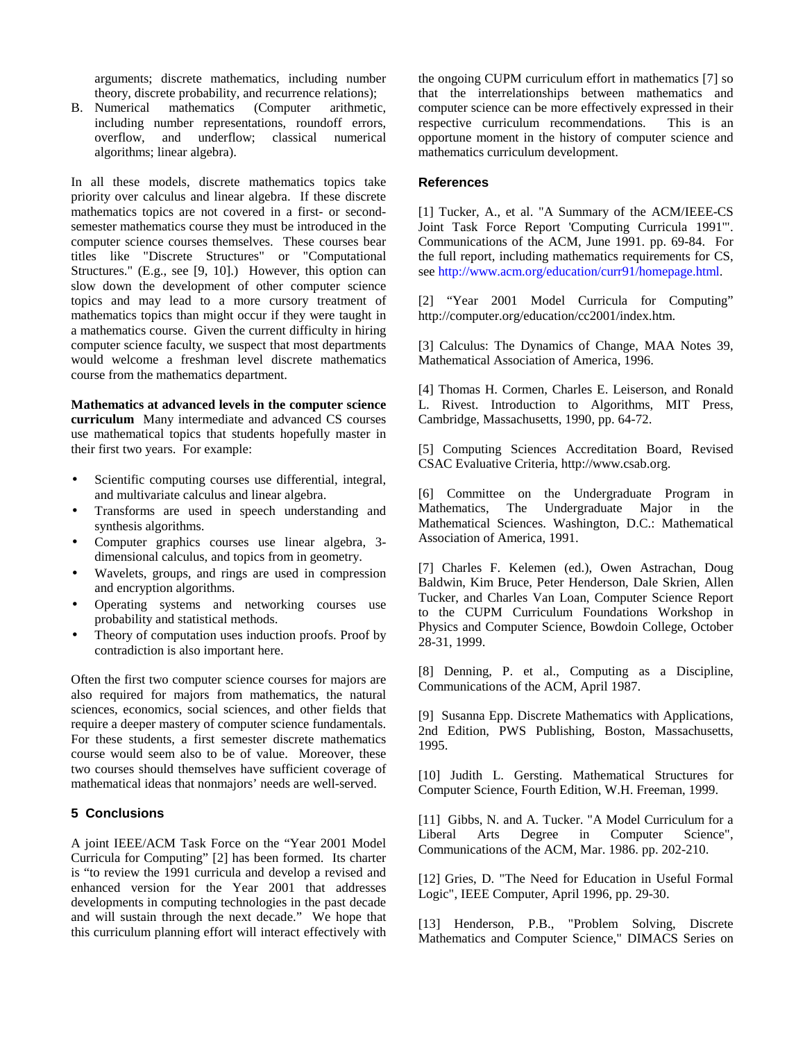arguments; discrete mathematics, including number theory, discrete probability, and recurrence relations);

B. Numerical mathematics (Computer arithmetic, including number representations, roundoff errors, overflow, and underflow; classical numerical algorithms; linear algebra).

In all these models, discrete mathematics topics take priority over calculus and linear algebra. If these discrete mathematics topics are not covered in a first- or secondsemester mathematics course they must be introduced in the computer science courses themselves. These courses bear titles like "Discrete Structures" or "Computational Structures." (E.g., see [9, 10].) However, this option can slow down the development of other computer science topics and may lead to a more cursory treatment of mathematics topics than might occur if they were taught in a mathematics course. Given the current difficulty in hiring computer science faculty, we suspect that most departments would welcome a freshman level discrete mathematics course from the mathematics department.

**Mathematics at advanced levels in the computer science curriculum** Many intermediate and advanced CS courses use mathematical topics that students hopefully master in their first two years. For example:

- Scientific computing courses use differential, integral, and multivariate calculus and linear algebra.
- Transforms are used in speech understanding and synthesis algorithms.
- Computer graphics courses use linear algebra, 3 dimensional calculus, and topics from in geometry.
- Wavelets, groups, and rings are used in compression and encryption algorithms.
- Operating systems and networking courses use probability and statistical methods.
- Theory of computation uses induction proofs. Proof by contradiction is also important here.

Often the first two computer science courses for majors are also required for majors from mathematics, the natural sciences, economics, social sciences, and other fields that require a deeper mastery of computer science fundamentals. For these students, a first semester discrete mathematics course would seem also to be of value. Moreover, these two courses should themselves have sufficient coverage of mathematical ideas that nonmajors' needs are well-served.

### **5 Conclusions**

A joint IEEE/ACM Task Force on the "Year 2001 Model Curricula for Computing" [2] has been formed. Its charter is "to review the 1991 curricula and develop a revised and enhanced version for the Year 2001 that addresses developments in computing technologies in the past decade and will sustain through the next decade." We hope that this curriculum planning effort will interact effectively with

the ongoing CUPM curriculum effort in mathematics [7] so that the interrelationships between mathematics and computer science can be more effectively expressed in their respective curriculum recommendations. This is an opportune moment in the history of computer science and mathematics curriculum development.

#### **References**

[1] Tucker, A., et al. "A Summary of the ACM/IEEE-CS Joint Task Force Report 'Computing Curricula 1991'". Communications of the ACM, June 1991. pp. 69-84. For the full report, including mathematics requirements for CS, see http://www.acm.org/education/curr91/homepage.html.

[2] "Year 2001 Model Curricula for Computing" http://computer.org/education/cc2001/index.htm.

[3] Calculus: The Dynamics of Change, MAA Notes 39, Mathematical Association of America, 1996.

[4] Thomas H. Cormen, Charles E. Leiserson, and Ronald L. Rivest. Introduction to Algorithms, MIT Press, Cambridge, Massachusetts, 1990, pp. 64-72.

[5] Computing Sciences Accreditation Board, Revised CSAC Evaluative Criteria, http://www.csab.org.

[6] Committee on the Undergraduate Program in Mathematics, The Undergraduate Major in the Mathematical Sciences. Washington, D.C.: Mathematical Association of America, 1991.

[7] Charles F. Kelemen (ed.), Owen Astrachan, Doug Baldwin, Kim Bruce, Peter Henderson, Dale Skrien, Allen Tucker, and Charles Van Loan, Computer Science Report to the CUPM Curriculum Foundations Workshop in Physics and Computer Science, Bowdoin College, October 28-31, 1999.

[8] Denning, P. et al., Computing as a Discipline, Communications of the ACM, April 1987.

[9] Susanna Epp. Discrete Mathematics with Applications, 2nd Edition, PWS Publishing, Boston, Massachusetts, 1995.

[10] Judith L. Gersting. Mathematical Structures for Computer Science, Fourth Edition, W.H. Freeman, 1999.

[11] Gibbs, N. and A. Tucker. "A Model Curriculum for a Liberal Arts Degree in Computer Science", Communications of the ACM, Mar. 1986. pp. 202-210.

[12] Gries, D. "The Need for Education in Useful Formal Logic", IEEE Computer, April 1996, pp. 29-30.

[13] Henderson, P.B., "Problem Solving, Discrete Mathematics and Computer Science," DIMACS Series on